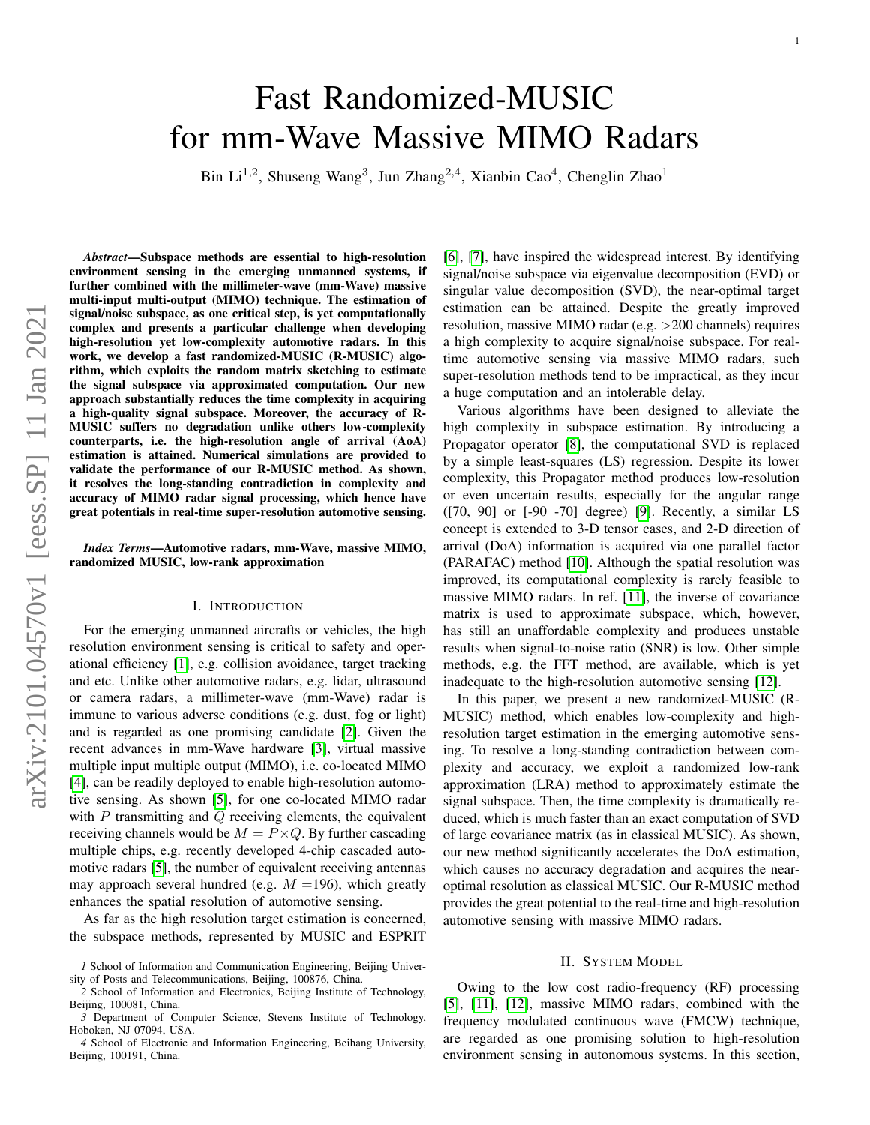# Fast Randomized-MUSIC for mm-Wave Massive MIMO Radars

Bin Li<sup>1,2</sup>, Shuseng Wang<sup>3</sup>, Jun Zhang<sup>2,4</sup>, Xianbin Cao<sup>4</sup>, Chenglin Zhao<sup>1</sup>

*Abstract*—Subspace methods are essential to high-resolution environment sensing in the emerging unmanned systems, if further combined with the millimeter-wave (mm-Wave) massive multi-input multi-output (MIMO) technique. The estimation of signal/noise subspace, as one critical step, is yet computationally complex and presents a particular challenge when developing high-resolution yet low-complexity automotive radars. In this work, we develop a fast randomized-MUSIC (R-MUSIC) algorithm, which exploits the random matrix sketching to estimate the signal subspace via approximated computation. Our new approach substantially reduces the time complexity in acquiring a high-quality signal subspace. Moreover, the accuracy of R-MUSIC suffers no degradation unlike others low-complexity counterparts, i.e. the high-resolution angle of arrival (AoA) estimation is attained. Numerical simulations are provided to validate the performance of our R-MUSIC method. As shown, it resolves the long-standing contradiction in complexity and accuracy of MIMO radar signal processing, which hence have great potentials in real-time super-resolution automotive sensing.

*Index Terms*—Automotive radars, mm-Wave, massive MIMO, randomized MUSIC, low-rank approximation

## I. INTRODUCTION

For the emerging unmanned aircrafts or vehicles, the high resolution environment sensing is critical to safety and operational efficiency [\[1\]](#page-5-0), e.g. collision avoidance, target tracking and etc. Unlike other automotive radars, e.g. lidar, ultrasound or camera radars, a millimeter-wave (mm-Wave) radar is immune to various adverse conditions (e.g. dust, fog or light) and is regarded as one promising candidate [\[2\]](#page-5-1). Given the recent advances in mm-Wave hardware [\[3\]](#page-5-2), virtual massive multiple input multiple output (MIMO), i.e. co-located MIMO [\[4\]](#page-5-3), can be readily deployed to enable high-resolution automotive sensing. As shown [\[5\]](#page-5-4), for one co-located MIMO radar with  $P$  transmitting and  $Q$  receiving elements, the equivalent receiving channels would be  $M = P \times Q$ . By further cascading multiple chips, e.g. recently developed 4-chip cascaded automotive radars [\[5\]](#page-5-4), the number of equivalent receiving antennas may approach several hundred (e.g.  $M = 196$ ), which greatly enhances the spatial resolution of automotive sensing.

As far as the high resolution target estimation is concerned, the subspace methods, represented by MUSIC and ESPRIT

*4* School of Electronic and Information Engineering, Beihang University, Beijing, 100191, China.

[\[6\]](#page-5-5), [\[7\]](#page-5-6), have inspired the widespread interest. By identifying signal/noise subspace via eigenvalue decomposition (EVD) or singular value decomposition (SVD), the near-optimal target estimation can be attained. Despite the greatly improved resolution, massive MIMO radar (e.g. >200 channels) requires a high complexity to acquire signal/noise subspace. For realtime automotive sensing via massive MIMO radars, such super-resolution methods tend to be impractical, as they incur a huge computation and an intolerable delay.

1

Various algorithms have been designed to alleviate the high complexity in subspace estimation. By introducing a Propagator operator [\[8\]](#page-5-7), the computational SVD is replaced by a simple least-squares (LS) regression. Despite its lower complexity, this Propagator method produces low-resolution or even uncertain results, especially for the angular range ([70, 90] or [-90 -70] degree) [\[9\]](#page-5-8). Recently, a similar LS concept is extended to 3-D tensor cases, and 2-D direction of arrival (DoA) information is acquired via one parallel factor (PARAFAC) method [\[10\]](#page-5-9). Although the spatial resolution was improved, its computational complexity is rarely feasible to massive MIMO radars. In ref. [\[11\]](#page-5-10), the inverse of covariance matrix is used to approximate subspace, which, however, has still an unaffordable complexity and produces unstable results when signal-to-noise ratio (SNR) is low. Other simple methods, e.g. the FFT method, are available, which is yet inadequate to the high-resolution automotive sensing [\[12\]](#page-5-11).

In this paper, we present a new randomized-MUSIC (R-MUSIC) method, which enables low-complexity and highresolution target estimation in the emerging automotive sensing. To resolve a long-standing contradiction between complexity and accuracy, we exploit a randomized low-rank approximation (LRA) method to approximately estimate the signal subspace. Then, the time complexity is dramatically reduced, which is much faster than an exact computation of SVD of large covariance matrix (as in classical MUSIC). As shown, our new method significantly accelerates the DoA estimation, which causes no accuracy degradation and acquires the nearoptimal resolution as classical MUSIC. Our R-MUSIC method provides the great potential to the real-time and high-resolution automotive sensing with massive MIMO radars.

## II. SYSTEM MODEL

Owing to the low cost radio-frequency (RF) processing [\[5\]](#page-5-4), [\[11\]](#page-5-10), [\[12\]](#page-5-11), massive MIMO radars, combined with the frequency modulated continuous wave (FMCW) technique, are regarded as one promising solution to high-resolution environment sensing in autonomous systems. In this section,

*<sup>1</sup>* School of Information and Communication Engineering, Beijing University of Posts and Telecommunications, Beijing, 100876, China.

*<sup>2</sup>* School of Information and Electronics, Beijing Institute of Technology, Beijing, 100081, China.

*<sup>3</sup>* Department of Computer Science, Stevens Institute of Technology, Hoboken, NJ 07094, USA.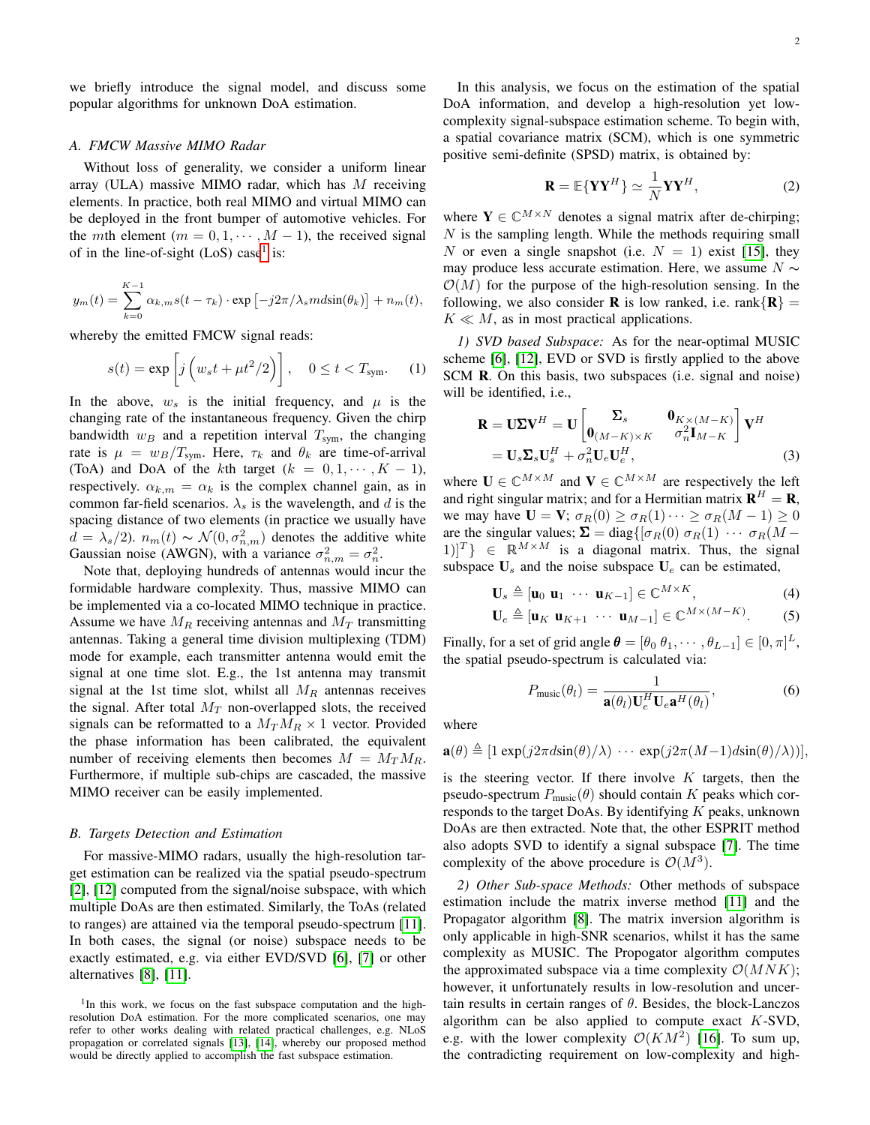we briefly introduce the signal model, and discuss some popular algorithms for unknown DoA estimation.

#### *A. FMCW Massive MIMO Radar*

Without loss of generality, we consider a uniform linear array (ULA) massive MIMO radar, which has  $M$  receiving elements. In practice, both real MIMO and virtual MIMO can be deployed in the front bumper of automotive vehicles. For the *mth* element ( $m = 0, 1, \dots, M - 1$ ), the received signal of in the line-of-sight  $(LoS)$  case<sup>[1](#page-1-0)</sup> is:

$$
y_m(t) = \sum_{k=0}^{K-1} \alpha_{k,m} s(t - \tau_k) \cdot \exp\left[-j2\pi/\lambda_s m d\sin(\theta_k)\right] + n_m(t),
$$

whereby the emitted FMCW signal reads:

$$
s(t) = \exp\left[j\left(w_s t + \mu t^2/2\right)\right], \quad 0 \le t < T_{\text{sym}}.\tag{1}
$$

In the above,  $w_s$  is the initial frequency, and  $\mu$  is the changing rate of the instantaneous frequency. Given the chirp bandwidth  $w_B$  and a repetition interval  $T_{sym}$ , the changing rate is  $\mu = w_B/T_{sym}$ . Here,  $\tau_k$  and  $\theta_k$  are time-of-arrival (ToA) and DoA of the kth target  $(k = 0, 1, \dots, K - 1)$ , respectively.  $\alpha_{k,m} = \alpha_k$  is the complex channel gain, as in common far-field scenarios.  $\lambda_s$  is the wavelength, and d is the spacing distance of two elements (in practice we usually have  $d = \lambda_s/2$ ).  $n_m(t) \sim \mathcal{N}(0, \sigma_{n,m}^2)$  denotes the additive white Gaussian noise (AWGN), with a variance  $\sigma_{n,m}^2 = \sigma_n^2$ .

Note that, deploying hundreds of antennas would incur the formidable hardware complexity. Thus, massive MIMO can be implemented via a co-located MIMO technique in practice. Assume we have  $M_R$  receiving antennas and  $M_T$  transmitting antennas. Taking a general time division multiplexing (TDM) mode for example, each transmitter antenna would emit the signal at one time slot. E.g., the 1st antenna may transmit signal at the 1st time slot, whilst all  $M_R$  antennas receives the signal. After total  $M_T$  non-overlapped slots, the received signals can be reformatted to a  $M_T M_R \times 1$  vector. Provided the phase information has been calibrated, the equivalent number of receiving elements then becomes  $M = M_T M_R$ . Furthermore, if multiple sub-chips are cascaded, the massive MIMO receiver can be easily implemented.

# *B. Targets Detection and Estimation*

For massive-MIMO radars, usually the high-resolution target estimation can be realized via the spatial pseudo-spectrum [\[2\]](#page-5-1), [\[12\]](#page-5-11) computed from the signal/noise subspace, with which multiple DoAs are then estimated. Similarly, the ToAs (related to ranges) are attained via the temporal pseudo-spectrum [\[11\]](#page-5-10). In both cases, the signal (or noise) subspace needs to be exactly estimated, e.g. via either EVD/SVD [\[6\]](#page-5-5), [\[7\]](#page-5-6) or other alternatives [\[8\]](#page-5-7), [\[11\]](#page-5-10).

In this analysis, we focus on the estimation of the spatial DoA information, and develop a high-resolution yet lowcomplexity signal-subspace estimation scheme. To begin with, a spatial covariance matrix (SCM), which is one symmetric positive semi-definite (SPSD) matrix, is obtained by:

$$
\mathbf{R} = \mathbb{E}\{\mathbf{Y}\mathbf{Y}^{H}\} \simeq \frac{1}{N} \mathbf{Y}\mathbf{Y}^{H},
$$
 (2)

where  $Y \in \mathbb{C}^{M \times N}$  denotes a signal matrix after de-chirping;  $N$  is the sampling length. While the methods requiring small N or even a single snapshot (i.e.  $N = 1$ ) exist [\[15\]](#page-5-14), they may produce less accurate estimation. Here, we assume  $N \sim$  $\mathcal{O}(M)$  for the purpose of the high-resolution sensing. In the following, we also consider **R** is low ranked, i.e. rank $\{R\}$  =  $K \ll M$ , as in most practical applications.

*1) SVD based Subspace:* As for the near-optimal MUSIC scheme [\[6\]](#page-5-5), [\[12\]](#page-5-11), EVD or SVD is firstly applied to the above SCM R. On this basis, two subspaces (i.e. signal and noise) will be identified, i.e.,

$$
\mathbf{R} = \mathbf{U} \mathbf{\Sigma} \mathbf{V}^H = \mathbf{U} \begin{bmatrix} \mathbf{\Sigma}_s & \mathbf{0}_{K \times (M-K)} \\ \mathbf{0}_{(M-K) \times K} & \sigma_n^2 \mathbf{I}_{M-K} \end{bmatrix} \mathbf{V}^H
$$
  
=  $\mathbf{U}_s \mathbf{\Sigma}_s \mathbf{U}_s^H + \sigma_n^2 \mathbf{U}_e \mathbf{U}_e^H,$  (3)

where  $\mathbf{U} \in \mathbb{C}^{M \times M}$  and  $\mathbf{V} \in \mathbb{C}^{M \times M}$  are respectively the left and right singular matrix; and for a Hermitian matrix  $\mathbf{R}^H = \mathbf{R}$ , we may have  $\mathbf{U} = \mathbf{V}$ ;  $\sigma_R(0) \geq \sigma_R(1) \cdots \geq \sigma_R(M-1) \geq 0$ are the singular values;  $\Sigma = \text{diag}\{[\sigma_R(0) \sigma_R(1) \cdots \sigma_R(M)]\}$  $[1]^{T}$   $\in \mathbb{R}^{M \times M}$  is a diagonal matrix. Thus, the signal subspace  $U_s$  and the noise subspace  $U_e$  can be estimated,

$$
\mathbf{U}_s \triangleq [\mathbf{u}_0 \; \mathbf{u}_1 \; \cdots \; \mathbf{u}_{K-1}] \in \mathbb{C}^{M \times K},\tag{4}
$$

$$
\mathbf{U}_e \triangleq [\mathbf{u}_K \; \mathbf{u}_{K+1} \; \cdots \; \mathbf{u}_{M-1}] \in \mathbb{C}^{M \times (M-K)}.\tag{5}
$$

Finally, for a set of grid angle  $\boldsymbol{\theta} = [\theta_0 \ \theta_1, \cdots, \theta_{L-1}] \in [0, \pi]^L$ , the spatial pseudo-spectrum is calculated via:

$$
P_{\text{music}}(\theta_l) = \frac{1}{\mathbf{a}(\theta_l)\mathbf{U}_e^H \mathbf{U}_e \mathbf{a}^H(\theta_l)},
$$
(6)

where

$$
\mathbf{a}(\theta) \triangleq [1 \exp(j2\pi d \sin(\theta)/\lambda) \cdots \exp(j2\pi (M-1)d \sin(\theta)/\lambda)]
$$

is the steering vector. If there involve  $K$  targets, then the pseudo-spectrum  $P_{\text{music}}(\theta)$  should contain K peaks which corresponds to the target DoAs. By identifying  $K$  peaks, unknown DoAs are then extracted. Note that, the other ESPRIT method also adopts SVD to identify a signal subspace [\[7\]](#page-5-6). The time complexity of the above procedure is  $\mathcal{O}(M^3)$ .

*2) Other Sub-space Methods:* Other methods of subspace estimation include the matrix inverse method [\[11\]](#page-5-10) and the Propagator algorithm [\[8\]](#page-5-7). The matrix inversion algorithm is only applicable in high-SNR scenarios, whilst it has the same complexity as MUSIC. The Propogator algorithm computes the approximated subspace via a time complexity  $\mathcal{O}(MNK)$ ; however, it unfortunately results in low-resolution and uncertain results in certain ranges of  $\theta$ . Besides, the block-Lanczos algorithm can be also applied to compute exact  $K$ -SVD, e.g. with the lower complexity  $\mathcal{O}(KM^2)$  [\[16\]](#page-5-15). To sum up, the contradicting requirement on low-complexity and high-

<span id="page-1-0"></span><sup>&</sup>lt;sup>1</sup>In this work, we focus on the fast subspace computation and the highresolution DoA estimation. For the more complicated scenarios, one may refer to other works dealing with related practical challenges, e.g. NLoS propagation or correlated signals [\[13\]](#page-5-12), [\[14\]](#page-5-13), whereby our proposed method would be directly applied to accomplish the fast subspace estimation.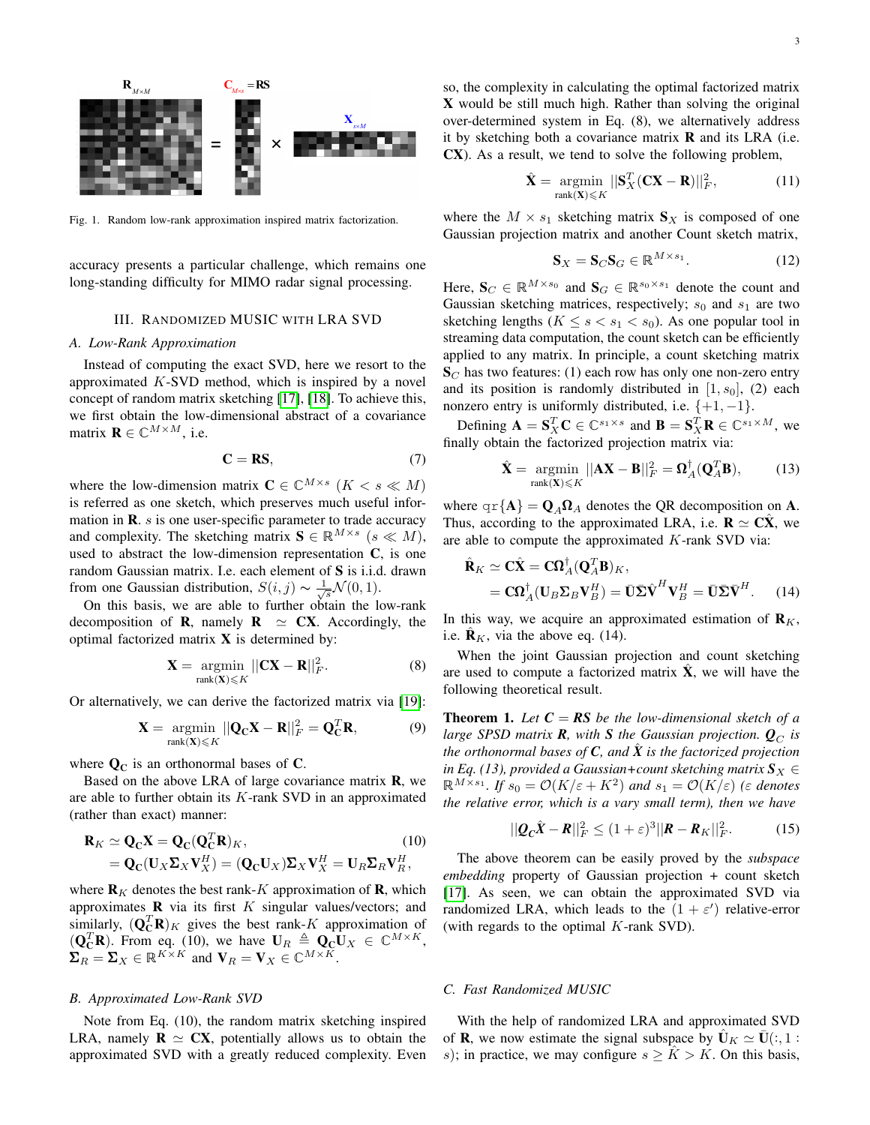

Fig. 1. Random low-rank approximation inspired matrix factorization.

accuracy presents a particular challenge, which remains one long-standing difficulty for MIMO radar signal processing.

# III. RANDOMIZED MUSIC WITH LRA SVD

## *A. Low-Rank Approximation*

Instead of computing the exact SVD, here we resort to the approximated  $K$ -SVD method, which is inspired by a novel concept of random matrix sketching [\[17\]](#page-5-16), [\[18\]](#page-5-17). To achieve this, we first obtain the low-dimensional abstract of a covariance matrix  $\mathbf{R} \in \mathbb{C}^{M \times M}$ , i.e.

$$
C = RS,
$$
 (7)

where the low-dimension matrix  $C \in \mathbb{C}^{M \times s}$   $(K < s \ll M)$ is referred as one sketch, which preserves much useful information in **.** *s* **is one user-specific parameter to trade accuracy** and complexity. The sketching matrix  $S \in \mathbb{R}^{M \times s}$   $(s \ll M)$ , used to abstract the low-dimension representation C, is one random Gaussian matrix. I.e. each element of S is i.i.d. drawn from one Gaussian distribution,  $S(i, j) \sim \frac{1}{\sqrt{s}} \mathcal{N}(0, 1)$ .

On this basis, we are able to further obtain the low-rank decomposition of **R**, namely **R**  $\approx$  **CX**. Accordingly, the optimal factorized matrix  $X$  is determined by:

$$
\mathbf{X} = \underset{\text{rank}(\mathbf{X}) \leq K}{\text{argmin}} ||\mathbf{C}\mathbf{X} - \mathbf{R}||_F^2. \tag{8}
$$

Or alternatively, we can derive the factorized matrix via [\[19\]](#page-5-18):

$$
\mathbf{X} = \underset{\text{rank}(\mathbf{X}) \leq K}{\operatorname{argmin}} ||\mathbf{Q}_{\mathbf{C}} \mathbf{X} - \mathbf{R}||_F^2 = \mathbf{Q}_{\mathbf{C}}^T \mathbf{R},
$$
(9)

where  $\mathbf{Q}_{\mathbf{C}}$  is an orthonormal bases of C.

Based on the above LRA of large covariance matrix **, we** are able to further obtain its  $K$ -rank SVD in an approximated (rather than exact) manner:

$$
\mathbf{R}_K \simeq \mathbf{Q}_{\mathbf{C}} \mathbf{X} = \mathbf{Q}_{\mathbf{C}} (\mathbf{Q}_{\mathbf{C}}^T \mathbf{R})_K, \tag{10}
$$
\n
$$
= \mathbf{Q}_{\mathbf{C}} (\mathbf{U}_X \mathbf{\Sigma}_X \mathbf{V}_X^H) = (\mathbf{Q}_{\mathbf{C}} \mathbf{U}_X) \mathbf{\Sigma}_X \mathbf{V}_X^H = \mathbf{U}_R \mathbf{\Sigma}_R \mathbf{V}_R^H,
$$

where  $\mathbf{R}_K$  denotes the best rank-K approximation of **R**, which approximates  $\bf{R}$  via its first  $K$  singular values/vectors; and similarly,  $(Q_C^T R)_K$  gives the best rank-K approximation of  $(Q_{\mathbf{C}}^T \mathbf{R})$ . From eq. (10), we have  $\mathbf{U}_R \triangleq \mathbf{Q}_{\mathbf{C}} \mathbf{U}_X \in \mathbb{C}^{M \times K}$ ,  $\Sigma_R = \Sigma_X \in \mathbb{R}^{K \times K}$  and  $\mathbf{V}_R = \mathbf{V}_X \in \mathbb{C}^{M \times K}$ .

## *B. Approximated Low-Rank SVD*

Note from Eq. (10), the random matrix sketching inspired LRA, namely  $\mathbf{R} \simeq \mathbf{C}\mathbf{X}$ , potentially allows us to obtain the approximated SVD with a greatly reduced complexity. Even

so, the complexity in calculating the optimal factorized matrix X would be still much high. Rather than solving the original over-determined system in Eq. (8), we alternatively address it by sketching both a covariance matrix  **and its LRA (i.e.** CX). As a result, we tend to solve the following problem,

$$
\hat{\mathbf{X}} = \underset{\text{rank}(\mathbf{X}) \leq K}{\operatorname{argmin}} ||\mathbf{S}_X^T (\mathbf{C} \mathbf{X} - \mathbf{R})||_F^2, \tag{11}
$$

where the  $M \times s_1$  sketching matrix  $S_X$  is composed of one Gaussian projection matrix and another Count sketch matrix,

$$
\mathbf{S}_X = \mathbf{S}_C \mathbf{S}_G \in \mathbb{R}^{M \times s_1}.
$$
 (12)

Here,  $\mathbf{S}_C \in \mathbb{R}^{M \times s_0}$  and  $\mathbf{S}_G \in \mathbb{R}^{s_0 \times s_1}$  denote the count and Gaussian sketching matrices, respectively;  $s_0$  and  $s_1$  are two sketching lengths ( $K \leq s < s_1 < s_0$ ). As one popular tool in streaming data computation, the count sketch can be efficiently applied to any matrix. In principle, a count sketching matrix  $S_C$  has two features: (1) each row has only one non-zero entry and its position is randomly distributed in  $[1, s_0]$ , (2) each nonzero entry is uniformly distributed, i.e.  $\{+1, -1\}$ .

Defining  $\mathbf{A} = \mathbf{S}_X^T \mathbf{C} \in \mathbb{C}^{s_1 \times s}$  and  $\mathbf{B} = \mathbf{S}_X^T \mathbf{R} \in \mathbb{C}^{s_1 \times M}$ , we finally obtain the factorized projection matrix via:

$$
\hat{\mathbf{X}} = \underset{\text{rank}(\mathbf{X}) \leq K}{\operatorname{argmin}} ||\mathbf{A}\mathbf{X} - \mathbf{B}||_F^2 = \mathbf{\Omega}_A^{\dagger}(\mathbf{Q}_A^T \mathbf{B}),\tag{13}
$$

where  $\{A\} = \mathbf{Q}_A \Omega_A$  denotes the QR decomposition on A. Thus, according to the approximated LRA, i.e.  $\mathbf{R} \simeq \mathbf{C}\mathbf{X}$ , we are able to compute the approximated K-rank SVD via:

 $\mathbf{f}$ 

$$
\hat{\mathbf{R}}_K \simeq \mathbf{C}\hat{\mathbf{X}} = \mathbf{C}\mathbf{\Omega}_A^{\dagger} (\mathbf{Q}_A^T \mathbf{B})_K, \n= \mathbf{C}\mathbf{\Omega}_A^{\dagger} (\mathbf{U}_B \mathbf{\Sigma}_B \mathbf{V}_B^H) = \bar{\mathbf{U}} \bar{\mathbf{\Sigma}} \hat{\mathbf{V}}^H \mathbf{V}_B^H = \bar{\mathbf{U}} \bar{\mathbf{\Sigma}} \bar{\mathbf{V}}^H.
$$
\n(14)

In this way, we acquire an approximated estimation of  $\mathbf{R}_K$ , i.e.  $\mathbf{R}_K$ , via the above eq. (14).

When the joint Gaussian projection and count sketching are used to compute a factorized matrix  $\ddot{\mathbf{X}}$ , we will have the following theoretical result.

**Theorem 1.** Let  $C = RS$  be the low-dimensional sketch of a *large SPSD matrix* **R***, with S the Gaussian projection.*  $Q_C$  *is the orthonormal bases of*  $C$ *, and*  $\hat{X}$  *is the factorized projection in Eq. (13), provided a Gaussian+count sketching matrix*  $S_X \in$  $\mathbb{R}^{M \times s_1}$ . If  $s_0 = \mathcal{O}(K/\varepsilon + K^2)$  and  $s_1 = \mathcal{O}(K/\varepsilon)$  ( $\varepsilon$  denotes *the relative error, which is a vary small term), then we have*

$$
||\boldsymbol{Q}_{\boldsymbol{C}}\hat{\boldsymbol{X}} - \boldsymbol{R}||_F^2 \le (1+\varepsilon)^3 ||\boldsymbol{R} - \boldsymbol{R}_K||_F^2.
$$
 (15)

The above theorem can be easily proved by the *subspace embedding* property of Gaussian projection + count sketch [\[17\]](#page-5-16). As seen, we can obtain the approximated SVD via randomized LRA, which leads to the  $(1 + \varepsilon')$  relative-error (with regards to the optimal  $K$ -rank SVD).

#### *C. Fast Randomized MUSIC*

With the help of randomized LRA and approximated SVD of **R**, we now estimate the signal subspace by  $\mathbf{U}_K \simeq \mathbf{U}(:, 1 :$ s); in practice, we may configure  $s \geq K > K$ . On this basis,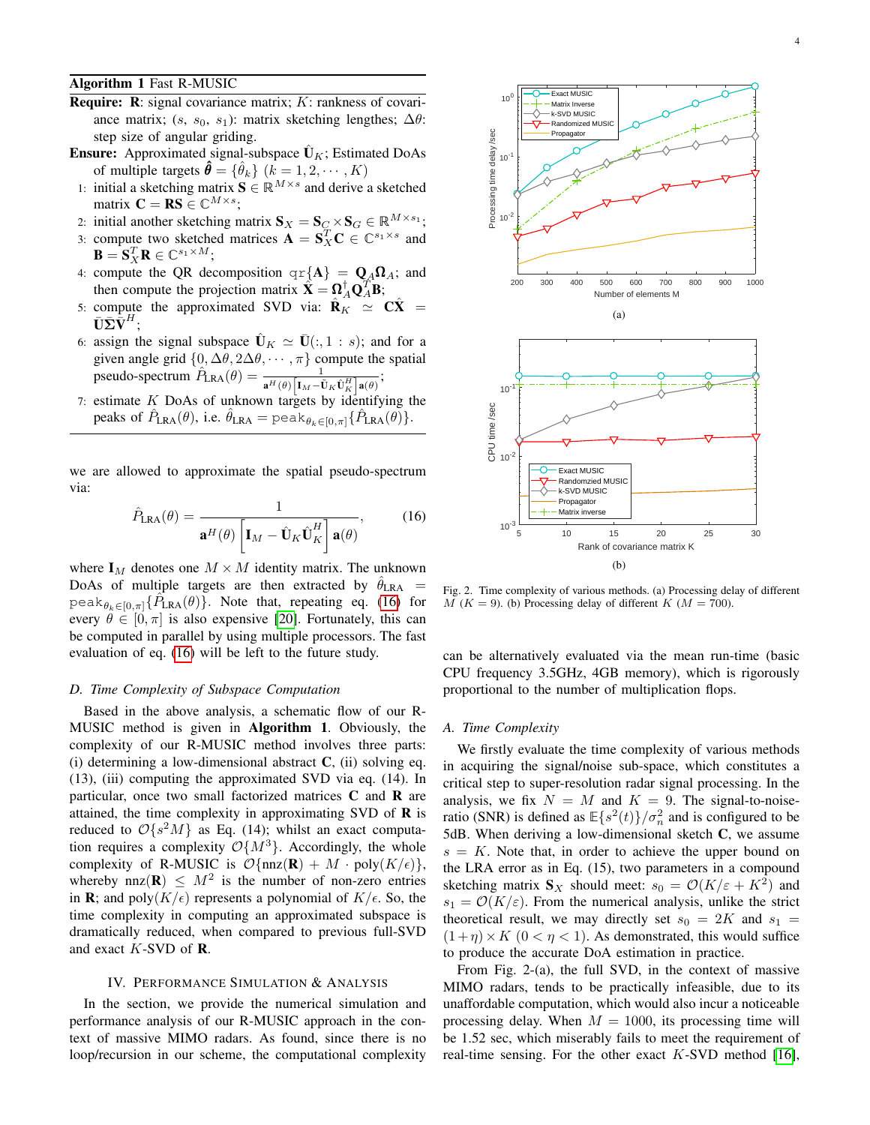Algorithm 1 Fast R-MUSIC

- **Require:** R: signal covariance matrix;  $K$ : rankness of covariance matrix;  $(s, s_0, s_1)$ : matrix sketching lengthes;  $\Delta\theta$ : step size of angular griding.
- **Ensure:** Approximated signal-subspace  $\hat{\mathbf{U}}_K$ ; Estimated DoAs of multiple targets  $\hat{\theta} = {\hat{\theta}_k}$   $(k = 1, 2, \dots, K)$
- 1: initial a sketching matrix  $\mathbf{S} \in \mathbb{R}^{M \times s}$  and derive a sketched matrix  $\mathbf{C} = \mathbf{RS} \in \mathbb{C}^{M \times s}$ ;
- 2: initial another sketching matrix  $\mathbf{S}_X = \mathbf{S}_C \times \mathbf{S}_G \in \mathbb{R}^{M \times s_1}$ ;
- 3: compute two sketched matrices  $\mathbf{A} = \mathbf{S}_X^T \mathbf{C} \in \mathbb{C}^{s_1 \times s}$  and  $\mathbf{B} = \mathbf{S}_X^T \mathbf{R} \in \mathbb{C}^{s_1 \times M};$
- 4: compute the QR decomposition  $\{A\} = Q_A \Omega_A$ ; and then compute the projection matrix  $\hat{\mathbf{X}} = \Omega_A^{\dagger} \mathbf{Q}_A^{\mathsf{T}} \mathbf{B}$ ;
- 5: compute the approximated SVD via:  $\hat{\mathbf{R}}_K \simeq \mathbf{C}\hat{\mathbf{X}}$  =  $\bar{\mathbf{U}}\bar{\mathbf{\Sigma}}\dot{\bar{\mathbf{V}}}^H;$
- 6: assign the signal subspace  $\bar{\mathbf{U}}_K \simeq \bar{\mathbf{U}}(:, 1 : s)$ ; and for a given angle grid  $\{0, \Delta\theta, 2\Delta\theta, \cdots, \pi\}$  compute the spatial pseudo-spectrum  $\hat{P}_{\text{LRA}}(\theta) = \frac{1}{\mathbf{a}^H(\theta) \left[\mathbf{I}_M - \tilde{\mathbf{U}}_K \tilde{\mathbf{U}}_K^H \right] \mathbf{a}(\theta)};$
- 7: estimate  $K$  DoAs of unknown targets by identifying the peaks of  $\hat{P}_{\text{LRA}}(\theta)$ , i.e.  $\hat{\theta}_{\text{LRA}} = \text{peak}_{\theta_k \in [0,\pi]} \{\hat{P}_{\text{LRA}}(\theta)\}.$

we are allowed to approximate the spatial pseudo-spectrum via:

$$
\hat{P}_{\text{LRA}}(\theta) = \frac{1}{\mathbf{a}^{H}(\theta) \left[ \mathbf{I}_{M} - \hat{\mathbf{U}}_{K} \hat{\mathbf{U}}_{K}^{H} \right] \mathbf{a}(\theta)},
$$
(16)

where  $I_M$  denotes one  $M \times M$  identity matrix. The unknown DoAs of multiple targets are then extracted by  $\hat{\theta}_{\text{LRA}}$  = peak $_{\theta_k \in [0,\pi]}$ { $\hat{P}_{\text{LRA}}(\theta)$ }. Note that, repeating eq. [\(16\)](#page-3-0) for every  $\theta \in [0, \pi]$  is also expensive [\[20\]](#page-5-19). Fortunately, this can be computed in parallel by using multiple processors. The fast evaluation of eq. [\(16\)](#page-3-0) will be left to the future study.

## *D. Time Complexity of Subspace Computation*

Based in the above analysis, a schematic flow of our R-MUSIC method is given in Algorithm 1. Obviously, the complexity of our R-MUSIC method involves three parts: (i) determining a low-dimensional abstract  $C$ , (ii) solving eq. (13), (iii) computing the approximated SVD via eq. (14). In particular, once two small factorized matrices C and R are attained, the time complexity in approximating SVD of  **is** reduced to  $\mathcal{O}\lbrace s^2M \rbrace$  as Eq. (14); whilst an exact computation requires a complexity  $\mathcal{O}{M^3}$ . Accordingly, the whole complexity of R-MUSIC is  $\mathcal{O}\{\text{nnz}(\mathbf{R}) + M \cdot \text{poly}(K/\epsilon)\},$ whereby nnz $(R) \leq M^2$  is the number of non-zero entries in **R**; and poly $(K/\epsilon)$  represents a polynomial of  $K/\epsilon$ . So, the time complexity in computing an approximated subspace is dramatically reduced, when compared to previous full-SVD and exact K-SVD of R.

### IV. PERFORMANCE SIMULATION & ANALYSIS

In the section, we provide the numerical simulation and performance analysis of our R-MUSIC approach in the context of massive MIMO radars. As found, since there is no loop/recursion in our scheme, the computational complexity



<span id="page-3-0"></span>Fig. 2. Time complexity of various methods. (a) Processing delay of different  $M$  ( $K = 9$ ). (b) Processing delay of different  $K$  ( $M = 700$ ).

can be alternatively evaluated via the mean run-time (basic CPU frequency 3.5GHz, 4GB memory), which is rigorously proportional to the number of multiplication flops.

# *A. Time Complexity*

We firstly evaluate the time complexity of various methods in acquiring the signal/noise sub-space, which constitutes a critical step to super-resolution radar signal processing. In the analysis, we fix  $N = M$  and  $K = 9$ . The signal-to-noiseratio (SNR) is defined as  $\mathbb{E}\{s^2(t)\}/\sigma_n^2$  and is configured to be 5dB. When deriving a low-dimensional sketch C, we assume  $s = K$ . Note that, in order to achieve the upper bound on the LRA error as in Eq. (15), two parameters in a compound sketching matrix  $S_X$  should meet:  $s_0 = \mathcal{O}(K/\varepsilon + K^2)$  and  $s_1 = \mathcal{O}(K/\varepsilon)$ . From the numerical analysis, unlike the strict theoretical result, we may directly set  $s_0 = 2K$  and  $s_1 =$  $(1 + \eta) \times K$   $(0 < \eta < 1)$ . As demonstrated, this would suffice to produce the accurate DoA estimation in practice.

From Fig. 2-(a), the full SVD, in the context of massive MIMO radars, tends to be practically infeasible, due to its unaffordable computation, which would also incur a noticeable processing delay. When  $M = 1000$ , its processing time will be 1.52 sec, which miserably fails to meet the requirement of real-time sensing. For the other exact  $K$ -SVD method [\[16\]](#page-5-15),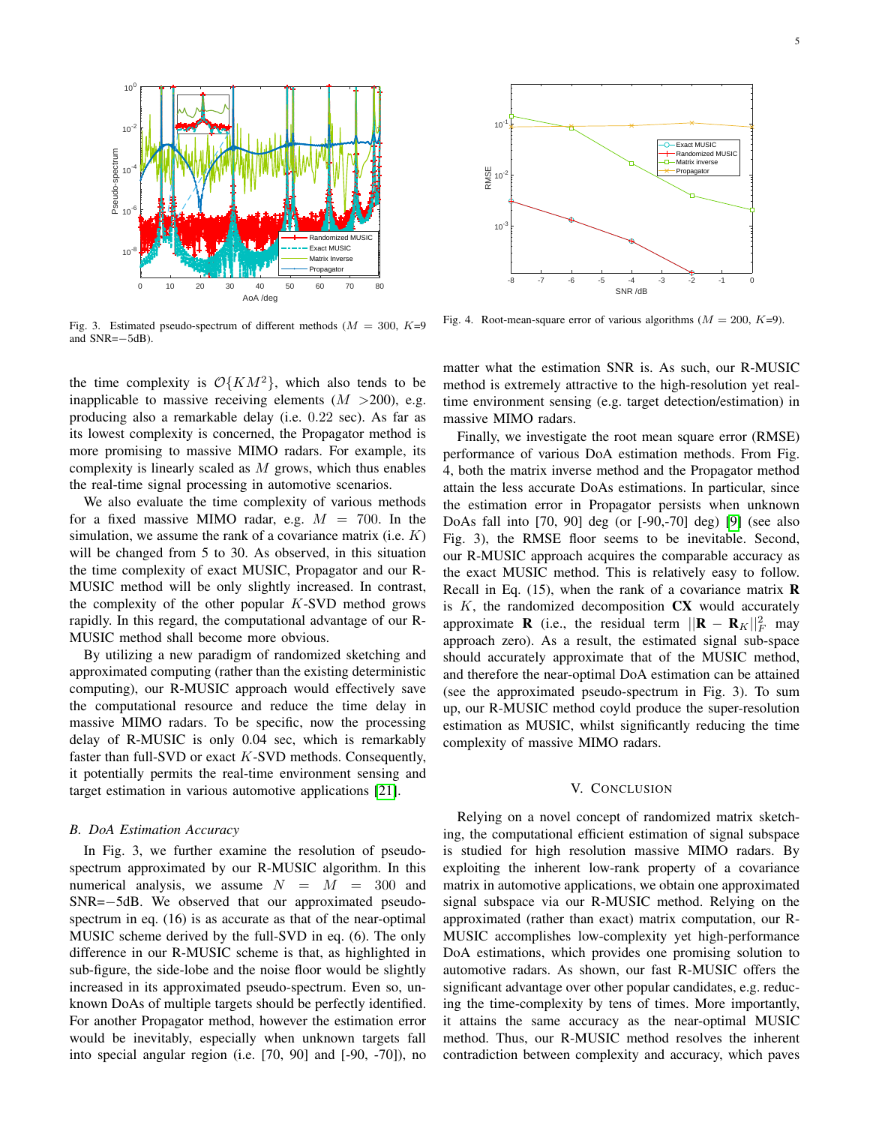

Fig. 3. Estimated pseudo-spectrum of different methods ( $M = 300, K=9$ and SNR=−5dB).

the time complexity is  $\mathcal{O}\{KM^2\}$ , which also tends to be inapplicable to massive receiving elements  $(M > 200)$ , e.g. producing also a remarkable delay (i.e. 0.22 sec). As far as its lowest complexity is concerned, the Propagator method is more promising to massive MIMO radars. For example, its complexity is linearly scaled as  $M$  grows, which thus enables the real-time signal processing in automotive scenarios.

We also evaluate the time complexity of various methods for a fixed massive MIMO radar, e.g.  $M = 700$ . In the simulation, we assume the rank of a covariance matrix (i.e.  $K$ ) will be changed from 5 to 30. As observed, in this situation the time complexity of exact MUSIC, Propagator and our R-MUSIC method will be only slightly increased. In contrast, the complexity of the other popular  $K$ -SVD method grows rapidly. In this regard, the computational advantage of our R-MUSIC method shall become more obvious.

By utilizing a new paradigm of randomized sketching and approximated computing (rather than the existing deterministic computing), our R-MUSIC approach would effectively save the computational resource and reduce the time delay in massive MIMO radars. To be specific, now the processing delay of R-MUSIC is only 0.04 sec, which is remarkably faster than full-SVD or exact K-SVD methods. Consequently, it potentially permits the real-time environment sensing and target estimation in various automotive applications [\[21\]](#page-5-20).

#### *B. DoA Estimation Accuracy*

In Fig. 3, we further examine the resolution of pseudospectrum approximated by our R-MUSIC algorithm. In this numerical analysis, we assume  $N = M = 300$  and SNR=−5dB. We observed that our approximated pseudospectrum in eq. (16) is as accurate as that of the near-optimal MUSIC scheme derived by the full-SVD in eq. (6). The only difference in our R-MUSIC scheme is that, as highlighted in sub-figure, the side-lobe and the noise floor would be slightly increased in its approximated pseudo-spectrum. Even so, unknown DoAs of multiple targets should be perfectly identified. For another Propagator method, however the estimation error would be inevitably, especially when unknown targets fall into special angular region (i.e. [70, 90] and [-90, -70]), no



Fig. 4. Root-mean-square error of various algorithms  $(M = 200, K=9)$ .

matter what the estimation SNR is. As such, our R-MUSIC method is extremely attractive to the high-resolution yet realtime environment sensing (e.g. target detection/estimation) in massive MIMO radars.

Finally, we investigate the root mean square error (RMSE) performance of various DoA estimation methods. From Fig. 4, both the matrix inverse method and the Propagator method attain the less accurate DoAs estimations. In particular, since the estimation error in Propagator persists when unknown DoAs fall into [70, 90] deg (or [-90,-70] deg) [\[9\]](#page-5-8) (see also Fig. 3), the RMSE floor seems to be inevitable. Second, our R-MUSIC approach acquires the comparable accuracy as the exact MUSIC method. This is relatively easy to follow. Recall in Eq.  $(15)$ , when the rank of a covariance matrix **R** is  $K$ , the randomized decomposition  $CX$  would accurately approximate **R** (i.e., the residual term  $||\mathbf{R} - \mathbf{R}_K||_F^2$  may approach zero). As a result, the estimated signal sub-space should accurately approximate that of the MUSIC method, and therefore the near-optimal DoA estimation can be attained (see the approximated pseudo-spectrum in Fig. 3). To sum up, our R-MUSIC method coyld produce the super-resolution estimation as MUSIC, whilst significantly reducing the time complexity of massive MIMO radars.

# V. CONCLUSION

Relying on a novel concept of randomized matrix sketching, the computational efficient estimation of signal subspace is studied for high resolution massive MIMO radars. By exploiting the inherent low-rank property of a covariance matrix in automotive applications, we obtain one approximated signal subspace via our R-MUSIC method. Relying on the approximated (rather than exact) matrix computation, our R-MUSIC accomplishes low-complexity yet high-performance DoA estimations, which provides one promising solution to automotive radars. As shown, our fast R-MUSIC offers the significant advantage over other popular candidates, e.g. reducing the time-complexity by tens of times. More importantly, it attains the same accuracy as the near-optimal MUSIC method. Thus, our R-MUSIC method resolves the inherent contradiction between complexity and accuracy, which paves